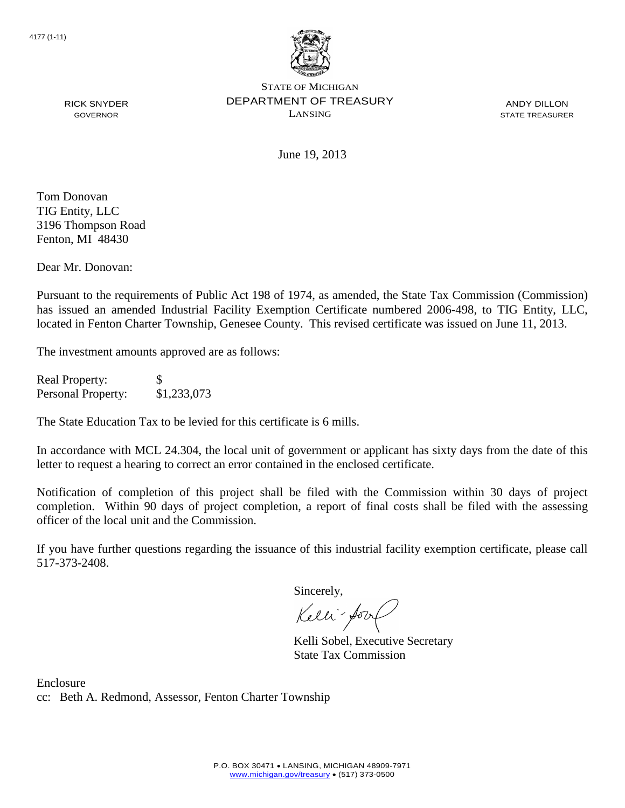

ANDY DILLON STATE TREASURER

RICK SNYDER GOVERNOR

June 19, 2013

Tom Donovan TIG Entity, LLC 3196 Thompson Road Fenton, MI 48430

Dear Mr. Donovan:

Pursuant to the requirements of Public Act 198 of 1974, as amended, the State Tax Commission (Commission) has issued an amended Industrial Facility Exemption Certificate numbered 2006-498, to TIG Entity, LLC, located in Fenton Charter Township, Genesee County. This revised certificate was issued on June 11, 2013.

The investment amounts approved are as follows:

Real Property: \$ Personal Property: \$1,233,073

The State Education Tax to be levied for this certificate is 6 mills.

In accordance with MCL 24.304, the local unit of government or applicant has sixty days from the date of this letter to request a hearing to correct an error contained in the enclosed certificate.

Notification of completion of this project shall be filed with the Commission within 30 days of project completion. Within 90 days of project completion, a report of final costs shall be filed with the assessing officer of the local unit and the Commission.

If you have further questions regarding the issuance of this industrial facility exemption certificate, please call 517-373-2408.

Sincerely,

Kelli-Sorr

Kelli Sobel, Executive Secretary State Tax Commission

Enclosure cc: Beth A. Redmond, Assessor, Fenton Charter Township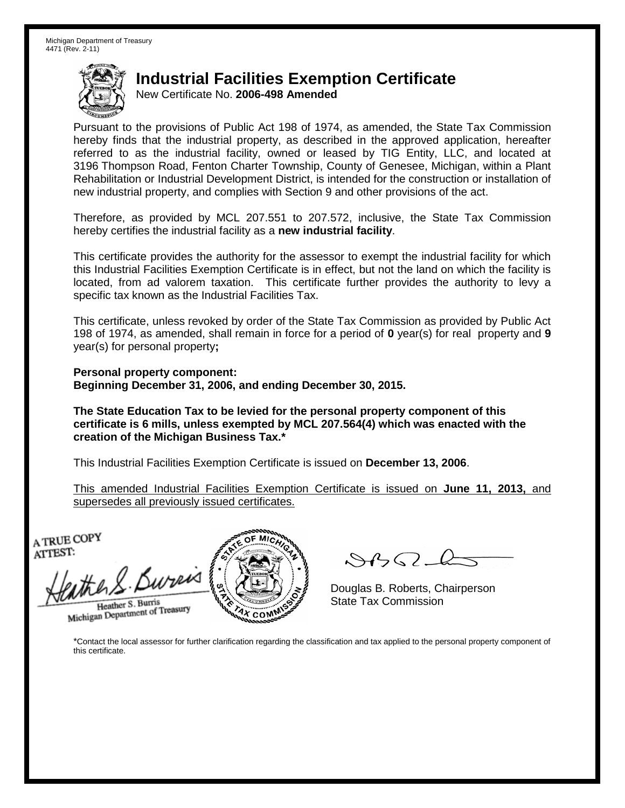New Certificate No. **2006-498 Amended**

Pursuant to the provisions of Public Act 198 of 1974, as amended, the State Tax Commission hereby finds that the industrial property, as described in the approved application, hereafter referred to as the industrial facility, owned or leased by TIG Entity, LLC, and located at 3196 Thompson Road, Fenton Charter Township, County of Genesee, Michigan, within a Plant Rehabilitation or Industrial Development District, is intended for the construction or installation of new industrial property, and complies with Section 9 and other provisions of the act.

Therefore, as provided by MCL 207.551 to 207.572, inclusive, the State Tax Commission hereby certifies the industrial facility as a **new industrial facility**.

This certificate provides the authority for the assessor to exempt the industrial facility for which this Industrial Facilities Exemption Certificate is in effect, but not the land on which the facility is located, from ad valorem taxation. This certificate further provides the authority to levy a specific tax known as the Industrial Facilities Tax.

This certificate, unless revoked by order of the State Tax Commission as provided by Public Act 198 of 1974, as amended, shall remain in force for a period of **0** year(s) for real property and **9** year(s) for personal property**;**

**Personal property component: Beginning December 31, 2006, and ending December 30, 2015.**

**The State Education Tax to be levied for the personal property component of this certificate is 6 mills, unless exempted by MCL 207.564(4) which was enacted with the creation of the Michigan Business Tax.\***

This Industrial Facilities Exemption Certificate is issued on **December 13, 2006**.

This amended Industrial Facilities Exemption Certificate is issued on **June 11, 2013,** and supersedes all previously issued certificates.

A TRUE COPY ATTEST:

the S. Bureis Heather S. Burris

Heather S. Burns<br>Michigan Department of Treasury



 $\mathcal{S}$ BO-Q

Douglas B. Roberts, Chairperson State Tax Commission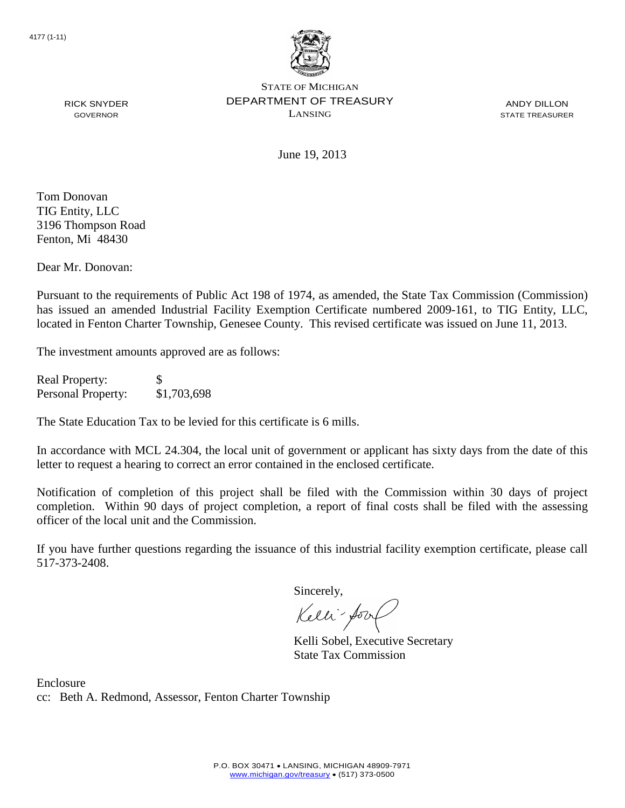

ANDY DILLON STATE TREASURER

June 19, 2013

Tom Donovan TIG Entity, LLC 3196 Thompson Road Fenton, Mi 48430

RICK SNYDER GOVERNOR

Dear Mr. Donovan:

Pursuant to the requirements of Public Act 198 of 1974, as amended, the State Tax Commission (Commission) has issued an amended Industrial Facility Exemption Certificate numbered 2009-161, to TIG Entity, LLC, located in Fenton Charter Township, Genesee County. This revised certificate was issued on June 11, 2013.

The investment amounts approved are as follows:

Real Property: \$ Personal Property: \$1,703,698

The State Education Tax to be levied for this certificate is 6 mills.

In accordance with MCL 24.304, the local unit of government or applicant has sixty days from the date of this letter to request a hearing to correct an error contained in the enclosed certificate.

Notification of completion of this project shall be filed with the Commission within 30 days of project completion. Within 90 days of project completion, a report of final costs shall be filed with the assessing officer of the local unit and the Commission.

If you have further questions regarding the issuance of this industrial facility exemption certificate, please call 517-373-2408.

Sincerely,

Kelli-Sorr

Kelli Sobel, Executive Secretary State Tax Commission

Enclosure cc: Beth A. Redmond, Assessor, Fenton Charter Township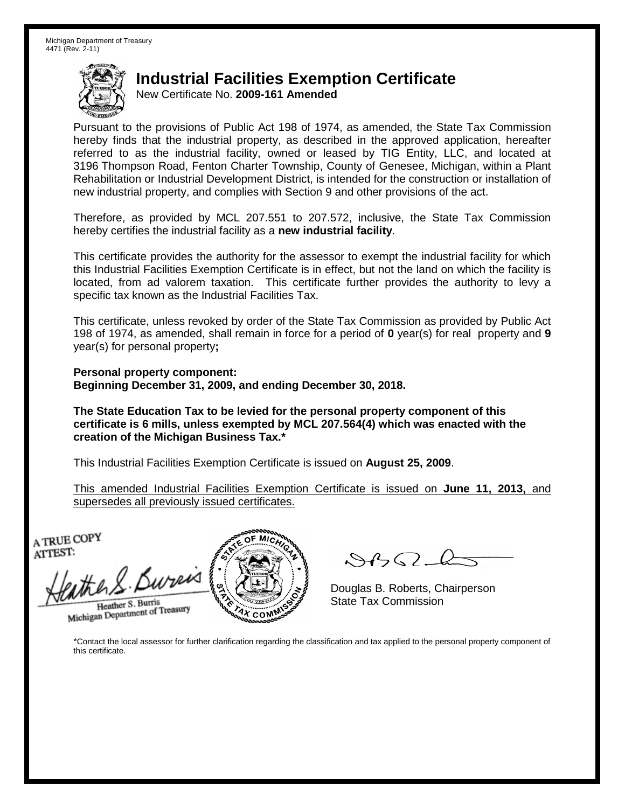New Certificate No. **2009-161 Amended**

Pursuant to the provisions of Public Act 198 of 1974, as amended, the State Tax Commission hereby finds that the industrial property, as described in the approved application, hereafter referred to as the industrial facility, owned or leased by TIG Entity, LLC, and located at 3196 Thompson Road, Fenton Charter Township, County of Genesee, Michigan, within a Plant Rehabilitation or Industrial Development District, is intended for the construction or installation of new industrial property, and complies with Section 9 and other provisions of the act.

Therefore, as provided by MCL 207.551 to 207.572, inclusive, the State Tax Commission hereby certifies the industrial facility as a **new industrial facility**.

This certificate provides the authority for the assessor to exempt the industrial facility for which this Industrial Facilities Exemption Certificate is in effect, but not the land on which the facility is located, from ad valorem taxation. This certificate further provides the authority to levy a specific tax known as the Industrial Facilities Tax.

This certificate, unless revoked by order of the State Tax Commission as provided by Public Act 198 of 1974, as amended, shall remain in force for a period of **0** year(s) for real property and **9** year(s) for personal property**;**

**Personal property component: Beginning December 31, 2009, and ending December 30, 2018.**

**The State Education Tax to be levied for the personal property component of this certificate is 6 mills, unless exempted by MCL 207.564(4) which was enacted with the creation of the Michigan Business Tax.\***

This Industrial Facilities Exemption Certificate is issued on **August 25, 2009**.

This amended Industrial Facilities Exemption Certificate is issued on **June 11, 2013,** and supersedes all previously issued certificates.

A TRUE COPY ATTEST:

the S. Burris Heather S. Burris

Heather S. Burns<br>Michigan Department of Treasury



 $\mathcal{S}$ BO-Q

Douglas B. Roberts, Chairperson State Tax Commission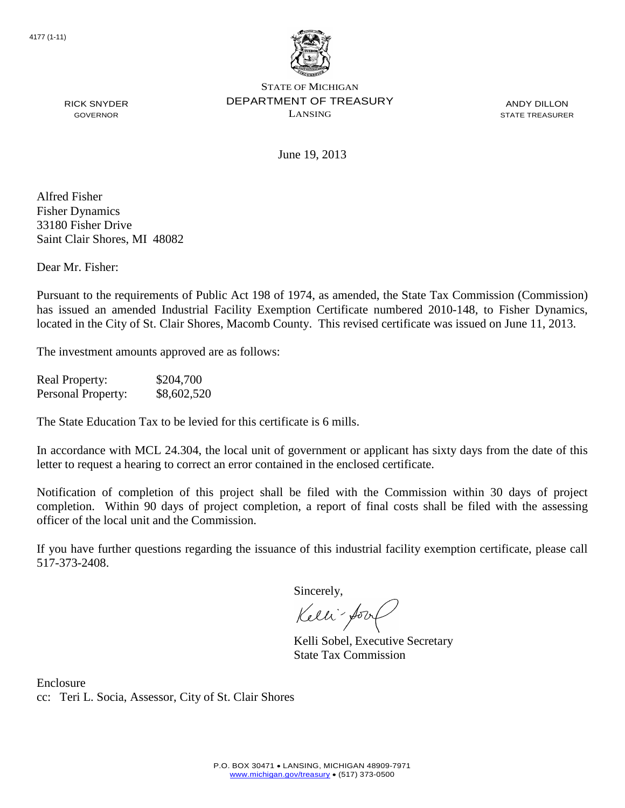

ANDY DILLON STATE TREASURER

RICK SNYDER GOVERNOR

June 19, 2013

Alfred Fisher Fisher Dynamics 33180 Fisher Drive Saint Clair Shores, MI 48082

Dear Mr. Fisher:

Pursuant to the requirements of Public Act 198 of 1974, as amended, the State Tax Commission (Commission) has issued an amended Industrial Facility Exemption Certificate numbered 2010-148, to Fisher Dynamics, located in the City of St. Clair Shores, Macomb County. This revised certificate was issued on June 11, 2013.

The investment amounts approved are as follows:

Real Property: \$204,700 Personal Property:  $$8,602,520$ 

The State Education Tax to be levied for this certificate is 6 mills.

In accordance with MCL 24.304, the local unit of government or applicant has sixty days from the date of this letter to request a hearing to correct an error contained in the enclosed certificate.

Notification of completion of this project shall be filed with the Commission within 30 days of project completion. Within 90 days of project completion, a report of final costs shall be filed with the assessing officer of the local unit and the Commission.

If you have further questions regarding the issuance of this industrial facility exemption certificate, please call 517-373-2408.

Sincerely,

Kelli-Sorr

Kelli Sobel, Executive Secretary State Tax Commission

Enclosure cc: Teri L. Socia, Assessor, City of St. Clair Shores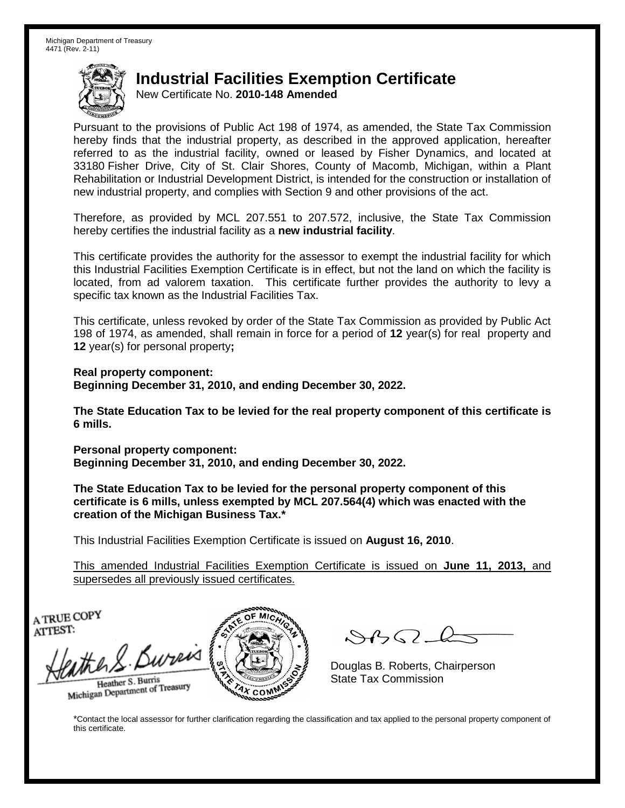New Certificate No. **2010-148 Amended**

Pursuant to the provisions of Public Act 198 of 1974, as amended, the State Tax Commission hereby finds that the industrial property, as described in the approved application, hereafter referred to as the industrial facility, owned or leased by Fisher Dynamics, and located at 33180 Fisher Drive, City of St. Clair Shores, County of Macomb, Michigan, within a Plant Rehabilitation or Industrial Development District, is intended for the construction or installation of new industrial property, and complies with Section 9 and other provisions of the act.

Therefore, as provided by MCL 207.551 to 207.572, inclusive, the State Tax Commission hereby certifies the industrial facility as a **new industrial facility**.

This certificate provides the authority for the assessor to exempt the industrial facility for which this Industrial Facilities Exemption Certificate is in effect, but not the land on which the facility is located, from ad valorem taxation. This certificate further provides the authority to levy a specific tax known as the Industrial Facilities Tax.

This certificate, unless revoked by order of the State Tax Commission as provided by Public Act 198 of 1974, as amended, shall remain in force for a period of **12** year(s) for real property and **12** year(s) for personal property**;**

**Real property component: Beginning December 31, 2010, and ending December 30, 2022.**

**The State Education Tax to be levied for the real property component of this certificate is 6 mills.**

**Personal property component: Beginning December 31, 2010, and ending December 30, 2022.**

**The State Education Tax to be levied for the personal property component of this certificate is 6 mills, unless exempted by MCL 207.564(4) which was enacted with the creation of the Michigan Business Tax.\***

This Industrial Facilities Exemption Certificate is issued on **August 16, 2010**.

This amended Industrial Facilities Exemption Certificate is issued on **June 11, 2013,** and supersedes all previously issued certificates.

A TRUE COPY ATTEST:

athers Bureis

Heather S. Burris Heather S. Burns<br>Michigan Department of Treasury



 $\mathcal{A}$ 

Douglas B. Roberts, Chairperson State Tax Commission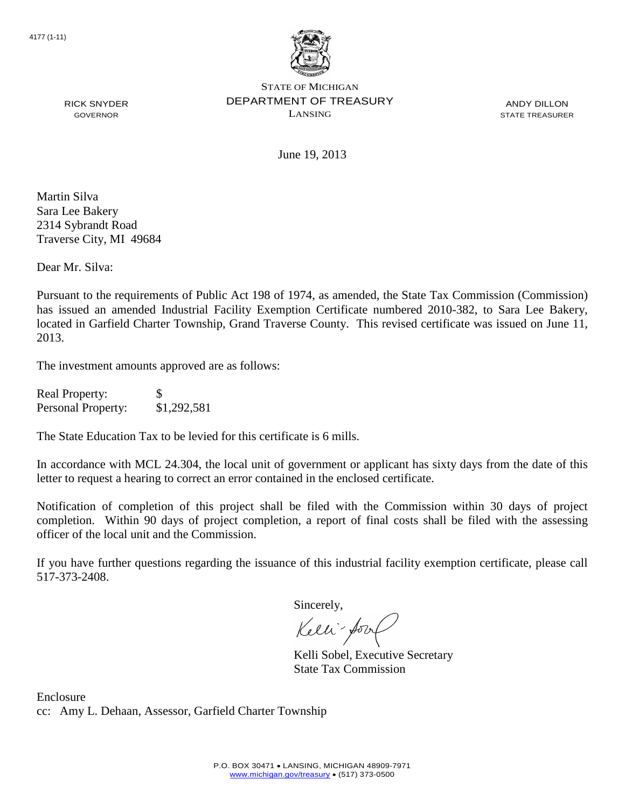

ANDY DILLON STATE TREASURER

RICK SNYDER GOVERNOR

June 19, 2013

Martin Silva Sara Lee Bakery 2314 Sybrandt Road Traverse City, MI 49684

Dear Mr. Silva:

Pursuant to the requirements of Public Act 198 of 1974, as amended, the State Tax Commission (Commission) has issued an amended Industrial Facility Exemption Certificate numbered 2010-382, to Sara Lee Bakery, located in Garfield Charter Township, Grand Traverse County. This revised certificate was issued on June 11, 2013.

The investment amounts approved are as follows:

| <b>Real Property:</b> | S           |
|-----------------------|-------------|
| Personal Property:    | \$1,292,581 |

The State Education Tax to be levied for this certificate is 6 mills.

In accordance with MCL 24.304, the local unit of government or applicant has sixty days from the date of this letter to request a hearing to correct an error contained in the enclosed certificate.

Notification of completion of this project shall be filed with the Commission within 30 days of project completion. Within 90 days of project completion, a report of final costs shall be filed with the assessing officer of the local unit and the Commission.

If you have further questions regarding the issuance of this industrial facility exemption certificate, please call 517-373-2408.

Sincerely,

Kelli-Sool

Kelli Sobel, Executive Secretary State Tax Commission

Enclosure cc: Amy L. Dehaan, Assessor, Garfield Charter Township